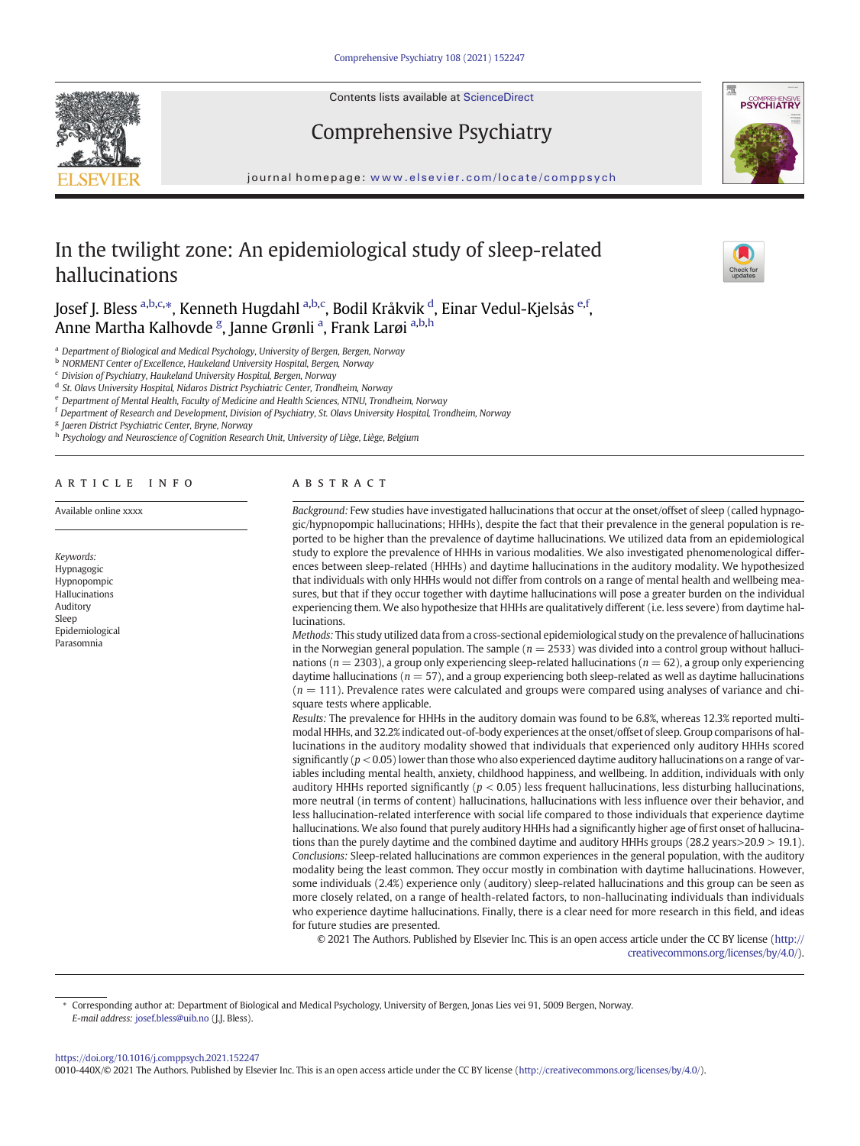

Contents lists available at ScienceDirect

# Comprehensive Psychiatry



journal homepage: <www.elsevier.com/locate/comppsych>

# In the twilight zone: An epidemiological study of sleep-related hallucinations

Josef J. Bless <sup>a,b,c,</sup>\*, Kenneth Hugdahl <sup>a,b,c</sup>, Bodil Kråkvik <sup>d</sup>, Einar Vedul-Kjelsås <sup>e,f</sup>, Anne Martha Kalhovde <sup>g</sup>, Janne Grønli <sup>a</sup>, Frank Larøi <sup>a,b,h</sup>

a Department of Biological and Medical Psychology, University of Bergen, Bergen, Norway

**b NORMENT Center of Excellence, Haukeland University Hospital, Bergen, Norway** 

 $c$  Division of Psychiatry, Haukeland University Hospital, Bergen, Norway

<sup>d</sup> St. Olavs University Hospital, Nidaros District Psychiatric Center, Trondheim, Norway

<sup>e</sup> Department of Mental Health, Faculty of Medicine and Health Sciences, NTNU, Trondheim, Norway

<sup>f</sup> Department of Research and Development, Division of Psychiatry, St. Olavs University Hospital, Trondheim, Norway

<sup>g</sup> Jaeren District Psychiatric Center, Bryne, Norway

h Psychology and Neuroscience of Cognition Research Unit, University of Liège, Liège, Belgium

# article info abstract

Available online xxxx

Keywords: Hypnagogic Hypnopompic Hallucinations Auditory Sleep Epidemiological Parasomnia

Background: Few studies have investigated hallucinations that occur at the onset/offset of sleep (called hypnagogic/hypnopompic hallucinations; HHHs), despite the fact that their prevalence in the general population is reported to be higher than the prevalence of daytime hallucinations. We utilized data from an epidemiological study to explore the prevalence of HHHs in various modalities. We also investigated phenomenological differences between sleep-related (HHHs) and daytime hallucinations in the auditory modality. We hypothesized that individuals with only HHHs would not differ from controls on a range of mental health and wellbeing measures, but that if they occur together with daytime hallucinations will pose a greater burden on the individual experiencing them. We also hypothesize that HHHs are qualitatively different (i.e. less severe) from daytime hallucinations.

Methods: This study utilized data from a cross-sectional epidemiological study on the prevalence of hallucinations in the Norwegian general population. The sample  $(n = 2533)$  was divided into a control group without hallucinations ( $n = 2303$ ), a group only experiencing sleep-related hallucinations ( $n = 62$ ), a group only experiencing daytime hallucinations ( $n = 57$ ), and a group experiencing both sleep-related as well as daytime hallucinations  $(n = 111)$ . Prevalence rates were calculated and groups were compared using analyses of variance and chisquare tests where applicable.

Results: The prevalence for HHHs in the auditory domain was found to be 6.8%, whereas 12.3% reported multimodal HHHs, and 32.2% indicated out-of-body experiences at the onset/offset of sleep. Group comparisons of hallucinations in the auditory modality showed that individuals that experienced only auditory HHHs scored significantly  $(p < 0.05)$  lower than those who also experienced daytime auditory hallucinations on a range of variables including mental health, anxiety, childhood happiness, and wellbeing. In addition, individuals with only auditory HHHs reported significantly ( $p < 0.05$ ) less frequent hallucinations, less disturbing hallucinations, more neutral (in terms of content) hallucinations, hallucinations with less influence over their behavior, and less hallucination-related interference with social life compared to those individuals that experience daytime hallucinations. We also found that purely auditory HHHs had a significantly higher age of first onset of hallucinations than the purely daytime and the combined daytime and auditory HHHs groups (28.2 years>20.9 > 19.1). Conclusions: Sleep-related hallucinations are common experiences in the general population, with the auditory modality being the least common. They occur mostly in combination with daytime hallucinations. However, some individuals (2.4%) experience only (auditory) sleep-related hallucinations and this group can be seen as more closely related, on a range of health-related factors, to non-hallucinating individuals than individuals who experience daytime hallucinations. Finally, there is a clear need for more research in this field, and ideas for future studies are presented.

© 2021 The Authors. Published by Elsevier Inc. This is an open access article under the CC BY license ([http://](http://creativecommons.org/licenses/by/4.0/) [creativecommons.org/licenses/by/4.0/\)](http://creativecommons.org/licenses/by/4.0/).

⁎ Corresponding author at: Department of Biological and Medical Psychology, University of Bergen, Jonas Lies vei 91, 5009 Bergen, Norway. E-mail address: [josef.bless@uib.no](mailto:josef.bless@uib.no) (J.J. Bless).

0010-440X/© 2021 The Authors. Published by Elsevier Inc. This is an open access article under the CC BY license [\(http://creativecommons.org/licenses/by/4.0/](http://creativecommons.org/licenses/by/4.0/)).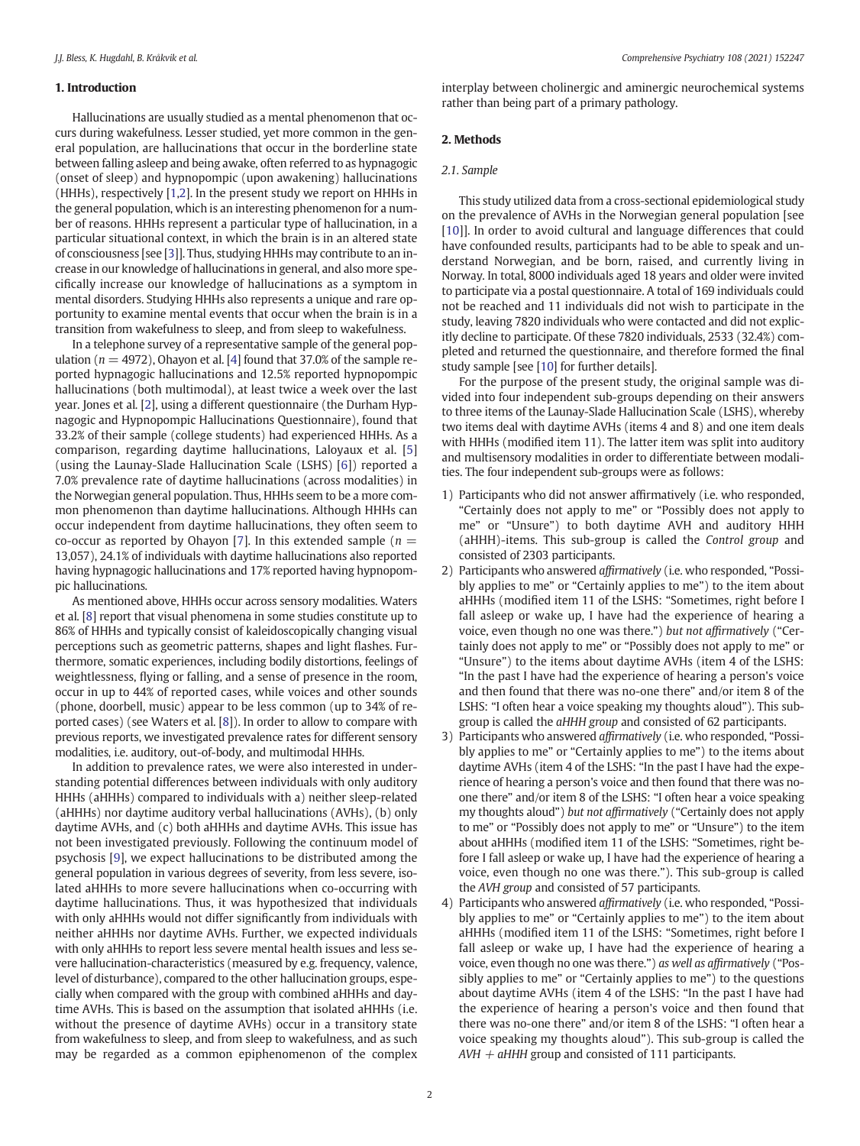# 1. Introduction

Hallucinations are usually studied as a mental phenomenon that occurs during wakefulness. Lesser studied, yet more common in the general population, are hallucinations that occur in the borderline state between falling asleep and being awake, often referred to as hypnagogic (onset of sleep) and hypnopompic (upon awakening) hallucinations (HHHs), respectively [\[1,2\]](#page-5-0). In the present study we report on HHHs in the general population, which is an interesting phenomenon for a number of reasons. HHHs represent a particular type of hallucination, in a particular situational context, in which the brain is in an altered state of consciousness [see [\[3\]](#page-5-0)]. Thus, studying HHHs may contribute to an increase in our knowledge of hallucinations in general, and also more specifically increase our knowledge of hallucinations as a symptom in mental disorders. Studying HHHs also represents a unique and rare opportunity to examine mental events that occur when the brain is in a transition from wakefulness to sleep, and from sleep to wakefulness.

In a telephone survey of a representative sample of the general population ( $n = 4972$  $n = 4972$  $n = 4972$ ), Ohayon et al. [4] found that 37.0% of the sample reported hypnagogic hallucinations and 12.5% reported hypnopompic hallucinations (both multimodal), at least twice a week over the last year. Jones et al. [\[2\]](#page-5-0), using a different questionnaire (the Durham Hypnagogic and Hypnopompic Hallucinations Questionnaire), found that 33.2% of their sample (college students) had experienced HHHs. As a comparison, regarding daytime hallucinations, Laloyaux et al. [[5](#page-5-0)] (using the Launay-Slade Hallucination Scale (LSHS) [\[6\]](#page-5-0)) reported a 7.0% prevalence rate of daytime hallucinations (across modalities) in the Norwegian general population. Thus, HHHs seem to be a more common phenomenon than daytime hallucinations. Although HHHs can occur independent from daytime hallucinations, they often seem to co-occur as reported by Ohayon [\[7\]](#page-5-0). In this extended sample ( $n =$ 13,057), 24.1% of individuals with daytime hallucinations also reported having hypnagogic hallucinations and 17% reported having hypnopompic hallucinations.

As mentioned above, HHHs occur across sensory modalities. Waters et al. [[8](#page-5-0)] report that visual phenomena in some studies constitute up to 86% of HHHs and typically consist of kaleidoscopically changing visual perceptions such as geometric patterns, shapes and light flashes. Furthermore, somatic experiences, including bodily distortions, feelings of weightlessness, flying or falling, and a sense of presence in the room, occur in up to 44% of reported cases, while voices and other sounds (phone, doorbell, music) appear to be less common (up to 34% of reported cases) (see Waters et al. [\[8\]](#page-5-0)). In order to allow to compare with previous reports, we investigated prevalence rates for different sensory modalities, i.e. auditory, out-of-body, and multimodal HHHs.

In addition to prevalence rates, we were also interested in understanding potential differences between individuals with only auditory HHHs (aHHHs) compared to individuals with a) neither sleep-related (aHHHs) nor daytime auditory verbal hallucinations (AVHs), (b) only daytime AVHs, and (c) both aHHHs and daytime AVHs. This issue has not been investigated previously. Following the continuum model of psychosis [[9](#page-5-0)], we expect hallucinations to be distributed among the general population in various degrees of severity, from less severe, isolated aHHHs to more severe hallucinations when co-occurring with daytime hallucinations. Thus, it was hypothesized that individuals with only aHHHs would not differ significantly from individuals with neither aHHHs nor daytime AVHs. Further, we expected individuals with only aHHHs to report less severe mental health issues and less severe hallucination-characteristics (measured by e.g. frequency, valence, level of disturbance), compared to the other hallucination groups, especially when compared with the group with combined aHHHs and daytime AVHs. This is based on the assumption that isolated aHHHs (i.e. without the presence of daytime AVHs) occur in a transitory state from wakefulness to sleep, and from sleep to wakefulness, and as such may be regarded as a common epiphenomenon of the complex

interplay between cholinergic and aminergic neurochemical systems rather than being part of a primary pathology.

### 2. Methods

# 2.1. Sample

This study utilized data from a cross-sectional epidemiological study on the prevalence of AVHs in the Norwegian general population [see [[10](#page-5-0)]]. In order to avoid cultural and language differences that could have confounded results, participants had to be able to speak and understand Norwegian, and be born, raised, and currently living in Norway. In total, 8000 individuals aged 18 years and older were invited to participate via a postal questionnaire. A total of 169 individuals could not be reached and 11 individuals did not wish to participate in the study, leaving 7820 individuals who were contacted and did not explicitly decline to participate. Of these 7820 individuals, 2533 (32.4%) completed and returned the questionnaire, and therefore formed the final study sample [see [\[10](#page-5-0)] for further details].

For the purpose of the present study, the original sample was divided into four independent sub-groups depending on their answers to three items of the Launay-Slade Hallucination Scale (LSHS), whereby two items deal with daytime AVHs (items 4 and 8) and one item deals with HHHs (modified item 11). The latter item was split into auditory and multisensory modalities in order to differentiate between modalities. The four independent sub-groups were as follows:

- 1) Participants who did not answer affirmatively (i.e. who responded, "Certainly does not apply to me" or "Possibly does not apply to me" or "Unsure") to both daytime AVH and auditory HHH (aHHH)-items. This sub-group is called the Control group and consisted of 2303 participants.
- 2) Participants who answered affirmatively (i.e. who responded, "Possibly applies to me" or "Certainly applies to me") to the item about aHHHs (modified item 11 of the LSHS: "Sometimes, right before I fall asleep or wake up, I have had the experience of hearing a voice, even though no one was there.") but not affirmatively ("Certainly does not apply to me" or "Possibly does not apply to me" or "Unsure") to the items about daytime AVHs (item 4 of the LSHS: "In the past I have had the experience of hearing a person's voice and then found that there was no-one there" and/or item 8 of the LSHS: "I often hear a voice speaking my thoughts aloud"). This subgroup is called the aHHH group and consisted of 62 participants.
- 3) Participants who answered affirmatively (i.e. who responded, "Possibly applies to me" or "Certainly applies to me") to the items about daytime AVHs (item 4 of the LSHS: "In the past I have had the experience of hearing a person's voice and then found that there was noone there" and/or item 8 of the LSHS: "I often hear a voice speaking my thoughts aloud") but not affirmatively ("Certainly does not apply to me" or "Possibly does not apply to me" or "Unsure") to the item about aHHHs (modified item 11 of the LSHS: "Sometimes, right before I fall asleep or wake up, I have had the experience of hearing a voice, even though no one was there."). This sub-group is called the AVH group and consisted of 57 participants.
- 4) Participants who answered affirmatively (i.e. who responded, "Possibly applies to me" or "Certainly applies to me") to the item about aHHHs (modified item 11 of the LSHS: "Sometimes, right before I fall asleep or wake up, I have had the experience of hearing a voice, even though no one was there.") as well as affirmatively ("Possibly applies to me" or "Certainly applies to me") to the questions about daytime AVHs (item 4 of the LSHS: "In the past I have had the experience of hearing a person's voice and then found that there was no-one there" and/or item 8 of the LSHS: "I often hear a voice speaking my thoughts aloud"). This sub-group is called the  $AVH + aHHH$  group and consisted of 111 participants.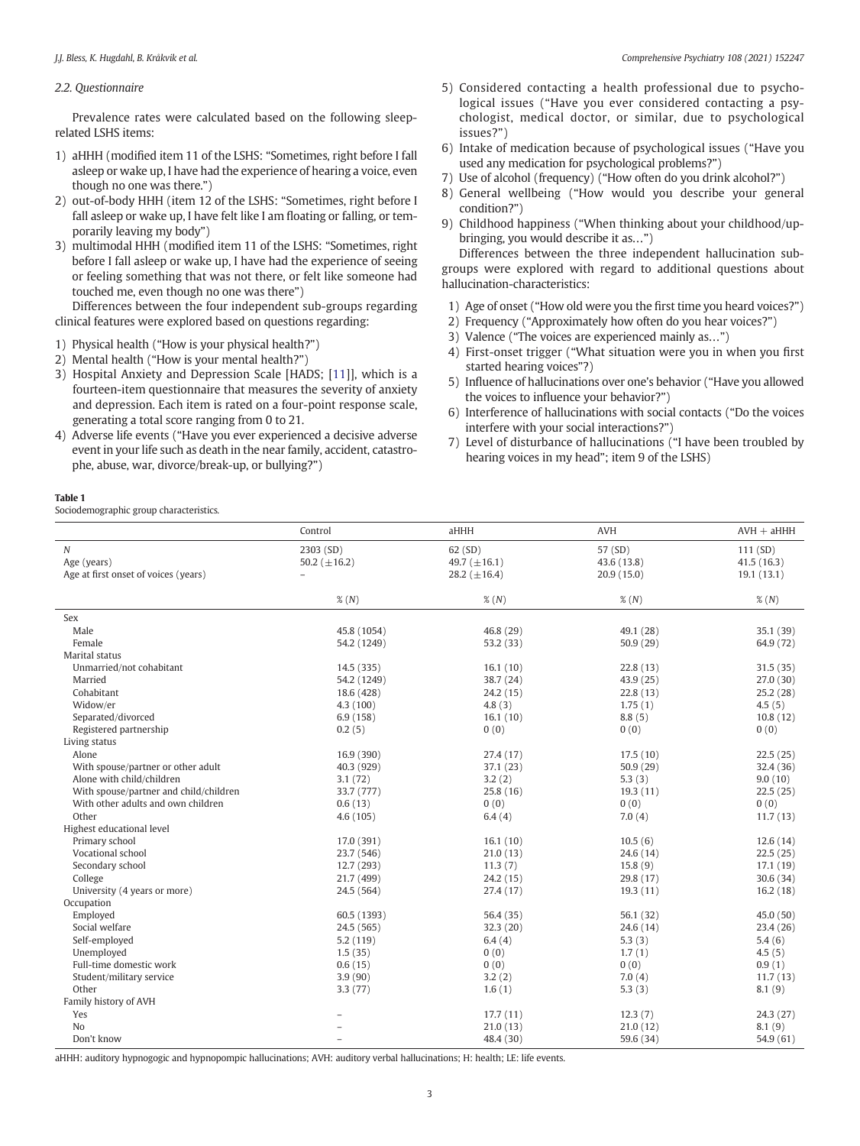# <span id="page-2-0"></span>2.2. Questionnaire

Prevalence rates were calculated based on the following sleeprelated LSHS items:

- 1) aHHH (modified item 11 of the LSHS: "Sometimes, right before I fall asleep or wake up, I have had the experience of hearing a voice, even though no one was there.")
- 2) out-of-body HHH (item 12 of the LSHS: "Sometimes, right before I fall asleep or wake up, I have felt like I am floating or falling, or temporarily leaving my body")
- 3) multimodal HHH (modified item 11 of the LSHS: "Sometimes, right before I fall asleep or wake up, I have had the experience of seeing or feeling something that was not there, or felt like someone had touched me, even though no one was there")

Differences between the four independent sub-groups regarding clinical features were explored based on questions regarding:

- 1) Physical health ("How is your physical health?")
- 2) Mental health ("How is your mental health?")
- 3) Hospital Anxiety and Depression Scale [HADS; [[11\]](#page-5-0)], which is a fourteen-item questionnaire that measures the severity of anxiety and depression. Each item is rated on a four-point response scale, generating a total score ranging from 0 to 21.
- 4) Adverse life events ("Have you ever experienced a decisive adverse event in your life such as death in the near family, accident, catastrophe, abuse, war, divorce/break-up, or bullying?")

# Table 1

Sociodemographic group characteristics.

- 5) Considered contacting a health professional due to psychological issues ("Have you ever considered contacting a psychologist, medical doctor, or similar, due to psychological issues?")
- 6) Intake of medication because of psychological issues ("Have you used any medication for psychological problems?")
- 7) Use of alcohol (frequency) ("How often do you drink alcohol?")
- 8) General wellbeing ("How would you describe your general condition?")
- 9) Childhood happiness ("When thinking about your childhood/upbringing, you would describe it as…")

Differences between the three independent hallucination subgroups were explored with regard to additional questions about hallucination-characteristics:

- 1) Age of onset ("How old were you the first time you heard voices?")
- 2) Frequency ("Approximately how often do you hear voices?")
- 3) Valence ("The voices are experienced mainly as…")
- 4) First-onset trigger ("What situation were you in when you first started hearing voices"?)
- 5) Influence of hallucinations over one's behavior ("Have you allowed the voices to influence your behavior?")
- 6) Interference of hallucinations with social contacts ("Do the voices interfere with your social interactions?")
- 7) Level of disturbance of hallucinations ("I have been troubled by hearing voices in my head"; item 9 of the LSHS)

|                                        | Control            | aHHH              | AVH         | $AVH + aHHH$ |
|----------------------------------------|--------------------|-------------------|-------------|--------------|
| $\cal N$                               | 2303 (SD)          | 62 (SD)           | 57 (SD)     | 111(SD)      |
| Age (years)                            | 50.2 ( $\pm$ 16.2) | 49.7 $(\pm 16.1)$ | 43.6 (13.8) | 41.5(16.3)   |
| Age at first onset of voices (years)   |                    | 28.2 $(\pm 16.4)$ | 20.9(15.0)  | 19.1(13.1)   |
|                                        | $\%$ $(N)$         | $\%$ (N)          | $\%$ (N)    | $\%$ (N)     |
| Sex                                    |                    |                   |             |              |
| Male                                   | 45.8 (1054)        | 46.8 (29)         | 49.1 (28)   | 35.1 (39)    |
| Female                                 | 54.2 (1249)        | 53.2 (33)         | 50.9(29)    | 64.9 (72)    |
| Marital status                         |                    |                   |             |              |
| Unmarried/not cohabitant               | 14.5(335)          | 16.1(10)          | 22.8(13)    | 31.5(35)     |
| Married                                | 54.2 (1249)        | 38.7 (24)         | 43.9 (25)   | 27.0 (30)    |
| Cohabitant                             | 18.6 (428)         | 24.2 (15)         | 22.8(13)    | 25.2(28)     |
| Widow/er                               | 4.3(100)           | 4.8(3)            | 1,75(1)     | 4.5(5)       |
| Separated/divorced                     | 6.9(158)           | 16.1(10)          | 8.8(5)      | 10.8(12)     |
| Registered partnership                 | 0.2(5)             | 0(0)              | 0(0)        | 0(0)         |
| Living status                          |                    |                   |             |              |
| Alone                                  | 16.9 (390)         | 27.4 (17)         | 17.5(10)    | 22.5(25)     |
| With spouse/partner or other adult     | 40.3 (929)         | 37.1(23)          | 50.9(29)    | 32.4 (36)    |
| Alone with child/children              | 3.1(72)            | 3.2(2)            | 5.3(3)      | 9.0(10)      |
| With spouse/partner and child/children | 33.7 (777)         | 25.8(16)          | 19.3(11)    | 22.5(25)     |
| With other adults and own children     | 0.6(13)            | 0(0)              | 0(0)        | 0(0)         |
| Other                                  | 4.6(105)           | 6.4(4)            | 7.0(4)      | 11.7(13)     |
| Highest educational level              |                    |                   |             |              |
| Primary school                         | 17.0 (391)         | 16.1(10)          | 10.5(6)     | 12.6(14)     |
| Vocational school                      | 23.7 (546)         | 21.0(13)          | 24.6 (14)   | 22.5(25)     |
| Secondary school                       | 12.7 (293)         | 11.3(7)           | 15.8(9)     | 17.1(19)     |
| College                                | 21.7 (499)         | 24.2 (15)         | 29.8 (17)   | 30.6(34)     |
| University (4 years or more)           | 24.5 (564)         | 27.4 (17)         | 19.3(11)    | 16.2(18)     |
| Occupation                             |                    |                   |             |              |
| Employed                               | 60.5 (1393)        | 56.4 (35)         | 56.1 (32)   | 45.0 (50)    |
| Social welfare                         | 24.5 (565)         | 32.3(20)          | 24.6 (14)   | 23.4(26)     |
| Self-employed                          | 5.2(119)           | 6.4(4)            | 5.3(3)      | 5.4(6)       |
| Unemployed                             | 1.5(35)            | 0(0)              | 1.7(1)      | 4.5(5)       |
| Full-time domestic work                | 0.6(15)            | 0(0)              | 0(0)        | 0.9(1)       |
| Student/military service               | 3.9(90)            | 3.2(2)            | 7.0(4)      | 11.7(13)     |
| Other                                  | 3.3(77)            | 1.6(1)            | 5.3(3)      | 8.1(9)       |
| Family history of AVH                  |                    |                   |             |              |
| Yes                                    |                    | 17.7(11)          | 12.3(7)     | 24.3 (27)    |
| No                                     |                    | 21.0(13)          | 21.0(12)    | 8.1(9)       |
| Don't know                             |                    | 48.4 (30)         | 59.6 (34)   | 54.9 (61)    |

aHHH: auditory hypnogogic and hypnopompic hallucinations; AVH: auditory verbal hallucinations; H: health; LE: life events.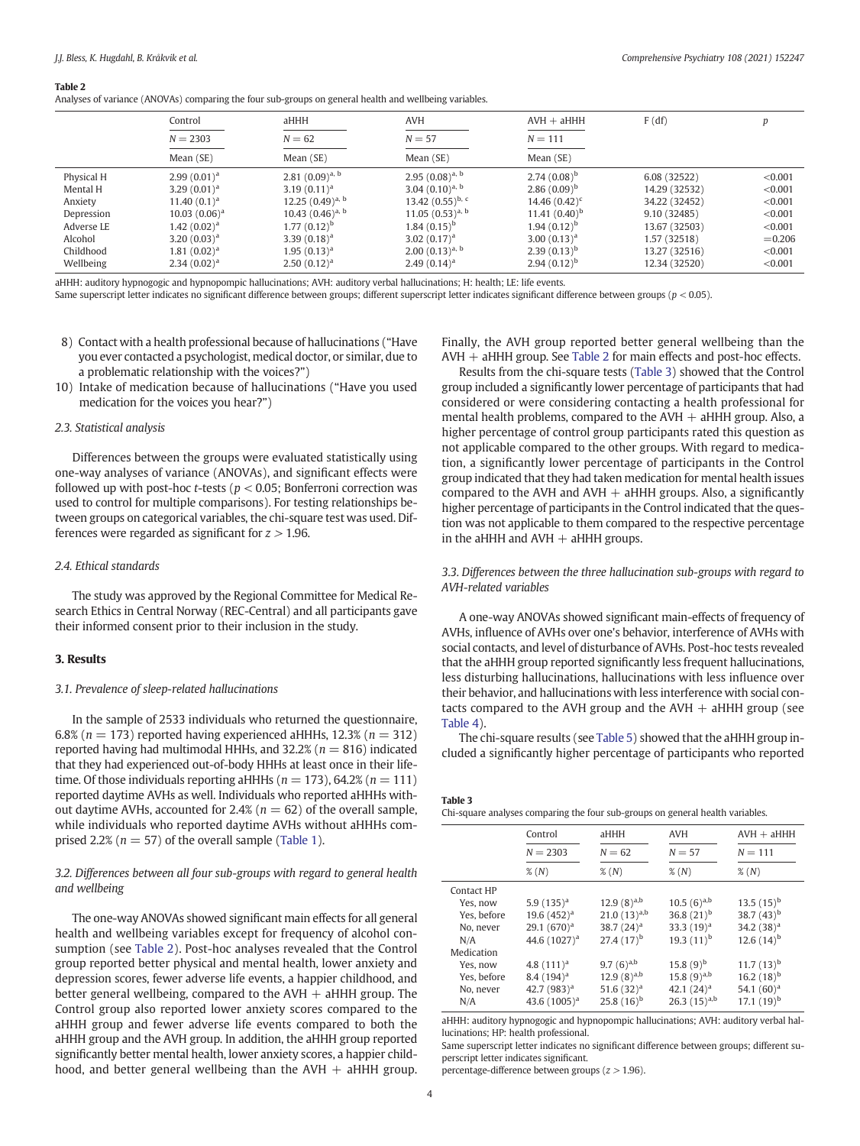#### Table 2

Analyses of variance (ANOVAs) comparing the four sub-groups on general health and wellbeing variables.

|            | Control          | aHHH                  | <b>AVH</b>            | $AVH + aHHH$       | F(df)         |           |
|------------|------------------|-----------------------|-----------------------|--------------------|---------------|-----------|
|            | $N = 2303$       | $N = 62$              | $N = 57$              | $N = 111$          |               |           |
|            | Mean (SE)        | Mean (SE)             | Mean (SE)             | Mean (SE)          |               |           |
| Physical H | $2.99(0.01)^a$   | 2.81 $(0.09)^{a, b}$  | $2.95(0.08)^{a, b}$   | $2.74(0.08)^{b}$   | 6.08 (32522)  | < 0.001   |
| Mental H   | $3.29(0.01)^a$   | $3.19(0.11)^a$        | 3.04 $(0.10)^{a, b}$  | $2.86(0.09)^{b}$   | 14.29 (32532) | < 0.001   |
| Anxiety    | $11.40(0.1)^a$   | 12.25 $(0.49)^{a, b}$ | 13.42 $(0.55)^{b, c}$ | 14.46 $(0.42)^c$   | 34.22 (32452) | < 0.001   |
| Depression | $10.03(0.06)^a$  | 10.43 $(0.46)^{a, b}$ | $11.05(0.53)^{a, b}$  | 11.41 $(0.40)^{b}$ | 9.10(32485)   | < 0.001   |
| Adverse LE | $1.42(0.02)^{a}$ | $1.77(0.12)^{b}$      | $1.84(0.15)^{b}$      | $1.94(0.12)^{b}$   | 13.67 (32503) | < 0.001   |
| Alcohol    | 3.20 $(0.03)^a$  | 3.39 $(0.18)^a$       | 3.02 $(0.17)^a$       | 3.00 $(0.13)^a$    | 1.57 (32518)  | $= 0.206$ |
| Childhood  | $1.81(0.02)^a$   | $1.95(0.13)^a$        | $2.00(0.13)^{a, b}$   | $2.39(0.13)^{b}$   | 13.27 (32516) | < 0.001   |
| Wellbeing  | $2.34(0.02)^a$   | $2.50(0.12)^a$        | $2.49(0.14)^a$        | $2.94(0.12)^{b}$   | 12.34 (32520) | < 0.001   |

aHHH: auditory hypnogogic and hypnopompic hallucinations; AVH: auditory verbal hallucinations; H: health; LE: life events.

Same superscript letter indicates no significant difference between groups; different superscript letter indicates significant difference between groups ( $p < 0.05$ ).

- 8) Contact with a health professional because of hallucinations ("Have you ever contacted a psychologist, medical doctor, or similar, due to a problematic relationship with the voices?")
- 10) Intake of medication because of hallucinations ("Have you used medication for the voices you hear?")

#### 2.3. Statistical analysis

Differences between the groups were evaluated statistically using one-way analyses of variance (ANOVAs), and significant effects were followed up with post-hoc *t*-tests ( $p < 0.05$ ; Bonferroni correction was used to control for multiple comparisons). For testing relationships between groups on categorical variables, the chi-square test was used. Differences were regarded as significant for  $z > 1.96$ .

#### 2.4. Ethical standards

The study was approved by the Regional Committee for Medical Research Ethics in Central Norway (REC-Central) and all participants gave their informed consent prior to their inclusion in the study.

#### 3. Results

## 3.1. Prevalence of sleep-related hallucinations

In the sample of 2533 individuals who returned the questionnaire, 6.8% ( $n = 173$ ) reported having experienced aHHHs, 12.3% ( $n = 312$ ) reported having had multimodal HHHs, and 32.2% ( $n = 816$ ) indicated that they had experienced out-of-body HHHs at least once in their lifetime. Of those individuals reporting aHHHs ( $n = 173$ ), 64.2% ( $n = 111$ ) reported daytime AVHs as well. Individuals who reported aHHHs without daytime AVHs, accounted for 2.4% ( $n = 62$ ) of the overall sample, while individuals who reported daytime AVHs without aHHHs comprised 2.2% ( $n = 57$ ) of the overall sample [\(Table 1\)](#page-2-0).

# 3.2. Differences between all four sub-groups with regard to general health and wellbeing

The one-way ANOVAs showed significant main effects for all general health and wellbeing variables except for frequency of alcohol consumption (see Table 2). Post-hoc analyses revealed that the Control group reported better physical and mental health, lower anxiety and depression scores, fewer adverse life events, a happier childhood, and better general wellbeing, compared to the  $AVH + aHHH$  group. The Control group also reported lower anxiety scores compared to the aHHH group and fewer adverse life events compared to both the aHHH group and the AVH group. In addition, the aHHH group reported significantly better mental health, lower anxiety scores, a happier childhood, and better general wellbeing than the  $AVH + aHHH$  group. Finally, the AVH group reported better general wellbeing than the AVH + aHHH group. See Table 2 for main effects and post-hoc effects.

Results from the chi-square tests (Table 3) showed that the Control group included a significantly lower percentage of participants that had considered or were considering contacting a health professional for mental health problems, compared to the  $AVH + aHHH$  group. Also, a higher percentage of control group participants rated this question as not applicable compared to the other groups. With regard to medication, a significantly lower percentage of participants in the Control group indicated that they had taken medication for mental health issues compared to the AVH and AVH  $+$  aHHH groups. Also, a significantly higher percentage of participants in the Control indicated that the question was not applicable to them compared to the respective percentage in the aHHH and  $AVH + aHHH$  groups.

# 3.3. Differences between the three hallucination sub-groups with regard to AVH-related variables

A one-way ANOVAs showed significant main-effects of frequency of AVHs, influence of AVHs over one's behavior, interference of AVHs with social contacts, and level of disturbance of AVHs. Post-hoc tests revealed that the aHHH group reported significantly less frequent hallucinations, less disturbing hallucinations, hallucinations with less influence over their behavior, and hallucinations with less interference with social contacts compared to the AVH group and the  $AVH + aHHH$  group (see [Table 4\)](#page-4-0).

The chi-square results (see [Table 5](#page-4-0)) showed that the aHHH group included a significantly higher percentage of participants who reported

| rabie 3 |  |                                                                                |  |
|---------|--|--------------------------------------------------------------------------------|--|
|         |  | Chi-square analyses comparing the four sub-groups on general health variables. |  |

|                                                                                                                 | Control                                                                                                                    | aHHH                                                                                                                           | <b>AVH</b>                                                                                                                      | $AVH + aHHH$                                                                                                                |
|-----------------------------------------------------------------------------------------------------------------|----------------------------------------------------------------------------------------------------------------------------|--------------------------------------------------------------------------------------------------------------------------------|---------------------------------------------------------------------------------------------------------------------------------|-----------------------------------------------------------------------------------------------------------------------------|
|                                                                                                                 | $N = 2303$                                                                                                                 | $N = 62$                                                                                                                       | $N = 57$                                                                                                                        | $N = 111$                                                                                                                   |
|                                                                                                                 | $\%$ (N)                                                                                                                   | $\%$ (N)                                                                                                                       | $\%$ (N)                                                                                                                        | $\%$ (N)                                                                                                                    |
| Contact HP<br>Yes, now<br>Yes, before<br>No. never<br>N/A<br>Medication<br>Yes, now<br>Yes, before<br>No, never | $5.9(135)^a$<br>19.6 $(452)^a$<br>$29.1(670)^a$<br>44.6 $(1027)^{a}$<br>4.8 $(111)^a$<br>8.4 $(194)^a$<br>42.7 $(983)^{a}$ | $12.9(8)^{a,b}$<br>$21.0(13)^{a,b}$<br>38.7 $(24)^a$<br>$27.4(17)^{b}$<br>9.7 $(6)^{a,b}$<br>12.9 $(8)^{a,b}$<br>51.6 $(32)^a$ | $10.5\ (6)^{a,b}$<br>36.8 $(21)^{b}$<br>33.3 $(19)^a$<br>19.3 $(11)^{b}$<br>15.8 $(9)^{b}$<br>15.8 $(9)^{a,b}$<br>42.1 $(24)^a$ | $13.5(15)^{b}$<br>38.7 $(43)^{b}$<br>34.2 $(38)^a$<br>12.6 $(14)^{b}$<br>$11.7(13)^{b}$<br>16.2 $(18)^{b}$<br>54.1 $(60)^a$ |
| N/A                                                                                                             | 43.6 $(1005)^{a}$                                                                                                          | $25.8(16)^{b}$                                                                                                                 | 26.3 $(15)^{a,b}$                                                                                                               | $17.1(19)^{b}$                                                                                                              |

aHHH: auditory hypnogogic and hypnopompic hallucinations; AVH: auditory verbal hallucinations; HP: health professional.

Same superscript letter indicates no significant difference between groups; different superscript letter indicates significant.

percentage-difference between groups  $(z > 1.96)$ .

 $T = 3$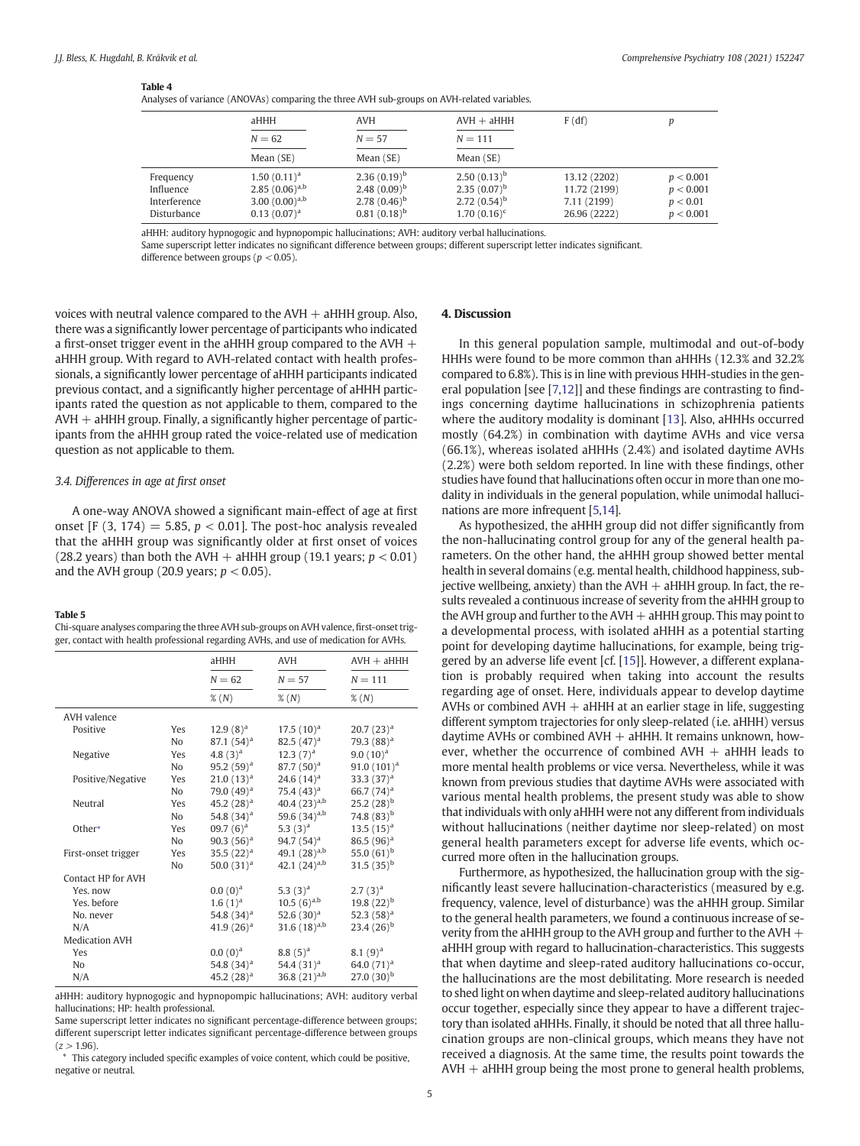#### <span id="page-4-0"></span>Table 4

Analyses of variance (ANOVAs) comparing the three AVH sub-groups on AVH-related variables.

| $m$ , and $m$ and $m$ and $m$ and $m$ and $m$ and $m$ and $m$ and $m$ and $m$ and $m$ and $m$ and $m$ |                                                                               |                                                                                |                                                                            |                                                             |                                                 |
|-------------------------------------------------------------------------------------------------------|-------------------------------------------------------------------------------|--------------------------------------------------------------------------------|----------------------------------------------------------------------------|-------------------------------------------------------------|-------------------------------------------------|
|                                                                                                       | aHHH                                                                          | AVH                                                                            | $AVH + aHHH$                                                               | F(df)                                                       |                                                 |
|                                                                                                       | $N = 62$                                                                      | $N = 57$                                                                       | $N = 111$                                                                  |                                                             |                                                 |
|                                                                                                       | Mean (SE)                                                                     | Mean (SE)                                                                      | Mean (SE)                                                                  |                                                             |                                                 |
| Frequency<br>Influence<br>Interference<br>Disturbance                                                 | $1.50(0.11)^a$<br>$2.85(0.06)^{a,b}$<br>3.00 $(0.00)^{a,b}$<br>$0.13(0.07)^a$ | $2.36(0.19)^{b}$<br>2.48 $(0.09)^{b}$<br>2.78 $(0.46)^{b}$<br>$0.81(0.18)^{b}$ | $2.50(0.13)^{b}$<br>$2.35(0.07)^{b}$<br>$2.72(0.54)^{b}$<br>$1.70(0.16)^c$ | 13.12 (2202)<br>11.72 (2199)<br>7.11 (2199)<br>26.96 (2222) | p < 0.001<br>p < 0.001<br>p < 0.01<br>p < 0.001 |

aHHH: auditory hypnogogic and hypnopompic hallucinations; AVH: auditory verbal hallucinations.

Same superscript letter indicates no significant difference between groups; different superscript letter indicates significant.

difference between groups ( $p < 0.05$ ).

voices with neutral valence compared to the  $AVH + aHHH$  group. Also, there was a significantly lower percentage of participants who indicated a first-onset trigger event in the aHHH group compared to the AVH  $+$ aHHH group. With regard to AVH-related contact with health professionals, a significantly lower percentage of aHHH participants indicated previous contact, and a significantly higher percentage of aHHH participants rated the question as not applicable to them, compared to the  $AVH + aHHH$  group. Finally, a significantly higher percentage of participants from the aHHH group rated the voice-related use of medication question as not applicable to them.

## 3.4. Differences in age at first onset

A one-way ANOVA showed a significant main-effect of age at first onset [F (3, 174) = 5.85,  $p < 0.01$ ]. The post-hoc analysis revealed that the aHHH group was significantly older at first onset of voices (28.2 years) than both the AVH  $+$  aHHH group (19.1 years;  $p < 0.01$ ) and the AVH group (20.9 years;  $p < 0.05$ ).

#### Table 5

Chi-square analyses comparing the three AVH sub-groups on AVH valence, first-onset trigger, contact with health professional regarding AVHs, and use of medication for AVHs.

|                       |                | aHHH                 | <b>AVH</b>        | $AVH + aHHH$    |
|-----------------------|----------------|----------------------|-------------------|-----------------|
|                       |                | $N = 62$             | $N = 57$          | $N = 111$       |
|                       |                | $\%$ (N)             | $\%$ (N)          | $\%$ (N)        |
| AVH valence           |                |                      |                   |                 |
| Positive              | Yes            | $12.9(8)^{a}$        | $17.5(10)^{a}$    | $20.7(23)^a$    |
|                       | N <sub>o</sub> | $87.1(54)^a$         | 82.5 $(47)^a$     | 79.3 $(88)^a$   |
| Negative              | Yes            | 4.8 $(3)^a$          | $12.3(7)^{a}$     | $9.0(10)^a$     |
|                       | No             | $95.2(59)^a$         | $87.7(50)^a$      | $91.0(101)^{a}$ |
| Positive/Negative     | Yes            | $21.0(13)^{a}$       | 24.6 $(14)^a$     | 33.3 $(37)^{a}$ |
|                       | N <sub>o</sub> | 79.0 $(49)^a$        | 75.4 $(43)^a$     | 66.7 $(74)^a$   |
| Neutral               | Yes            | 45.2 $(28)^a$        | 40.4 $(23)^{a,b}$ | 25.2 $(28)^{b}$ |
|                       | N <sub>o</sub> | 54.8 $(34)^a$        | 59.6 $(34)^{a,b}$ | 74.8 $(83)^{b}$ |
| Other*                | Yes            | $09.7(6)^a$          | 5.3 $(3)^a$       | $13.5(15)^{a}$  |
|                       | N <sub>o</sub> | 90.3 $(56)^a$        | 94.7 $(54)^a$     | 86.5 $(96)^a$   |
| First-onset trigger   | Yes            | $35.5(22)^a$         | 49.1 $(28)^{a,b}$ | 55.0 $(61)^{b}$ |
|                       | No             | 50.0 $(31)^a$        | 42.1 $(24)^{a,b}$ | 31.5 $(35)^{b}$ |
| Contact HP for AVH    |                |                      |                   |                 |
| Yes. now              |                | (0.0(0) <sup>a</sup> | 5.3 $(3)^a$       | $2.7(3)^{a}$    |
| Yes, before           |                | $1.6(1)^{a}$         | $10.5\ (6)^{a.b}$ | 19.8 $(22)^{b}$ |
| No. never             |                | 54.8 $(34)^a$        | 52.6 $(30)^a$     | 52.3 $(58)^a$   |
| N/A                   |                | 41.9 $(26)^a$        | 31.6 $(18)^{a,b}$ | $23.4(26)^{b}$  |
| <b>Medication AVH</b> |                |                      |                   |                 |
| Yes                   |                | (0.0(0) <sup>a</sup> | $8.8(5)^{a}$      | 8.1 $(9)^a$     |
| N <sub>o</sub>        |                | 54.8 $(34)^a$        | 54.4 $(31)^a$     | 64.0 $(71)^a$   |
| N/A                   |                | 45.2 $(28)^a$        | 36.8 $(21)^{a,b}$ | $27.0(30)^{b}$  |

aHHH: auditory hypnogogic and hypnopompic hallucinations; AVH: auditory verbal hallucinations; HP: health professional.

Same superscript letter indicates no significant percentage-difference between groups; different superscript letter indicates significant percentage-difference between groups  $(z > 1.96)$ .

⁎ This category included specific examples of voice content, which could be positive, negative or neutral.

# 4. Discussion

In this general population sample, multimodal and out-of-body HHHs were found to be more common than aHHHs (12.3% and 32.2% compared to 6.8%). This is in line with previous HHH-studies in the general population [see [[7](#page-5-0),[12\]](#page-5-0)] and these findings are contrasting to findings concerning daytime hallucinations in schizophrenia patients where the auditory modality is dominant [[13](#page-5-0)]. Also, aHHHs occurred mostly (64.2%) in combination with daytime AVHs and vice versa (66.1%), whereas isolated aHHHs (2.4%) and isolated daytime AVHs (2.2%) were both seldom reported. In line with these findings, other studies have found that hallucinations often occur in more than one modality in individuals in the general population, while unimodal hallucinations are more infrequent [[5](#page-5-0),[14\]](#page-5-0).

As hypothesized, the aHHH group did not differ significantly from the non-hallucinating control group for any of the general health parameters. On the other hand, the aHHH group showed better mental health in several domains (e.g. mental health, childhood happiness, subjective wellbeing, anxiety) than the AVH  $+$  aHHH group. In fact, the results revealed a continuous increase of severity from the aHHH group to the AVH group and further to the AVH + aHHH group. This may point to a developmental process, with isolated aHHH as a potential starting point for developing daytime hallucinations, for example, being triggered by an adverse life event [cf. [[15\]](#page-5-0)]. However, a different explanation is probably required when taking into account the results regarding age of onset. Here, individuals appear to develop daytime AVHs or combined AVH  $+$  aHHH at an earlier stage in life, suggesting different symptom trajectories for only sleep-related (i.e. aHHH) versus daytime AVHs or combined  $AVH + aHHH$ . It remains unknown, however, whether the occurrence of combined  $AVH + aHHH$  leads to more mental health problems or vice versa. Nevertheless, while it was known from previous studies that daytime AVHs were associated with various mental health problems, the present study was able to show that individuals with only aHHH were not any different from individuals without hallucinations (neither daytime nor sleep-related) on most general health parameters except for adverse life events, which occurred more often in the hallucination groups.

Furthermore, as hypothesized, the hallucination group with the significantly least severe hallucination-characteristics (measured by e.g. frequency, valence, level of disturbance) was the aHHH group. Similar to the general health parameters, we found a continuous increase of severity from the aHHH group to the AVH group and further to the AVH  $+$ aHHH group with regard to hallucination-characteristics. This suggests that when daytime and sleep-rated auditory hallucinations co-occur, the hallucinations are the most debilitating. More research is needed to shed light on when daytime and sleep-related auditory hallucinations occur together, especially since they appear to have a different trajectory than isolated aHHHs. Finally, it should be noted that all three hallucination groups are non-clinical groups, which means they have not received a diagnosis. At the same time, the results point towards the  $AVH + aHHH$  group being the most prone to general health problems,